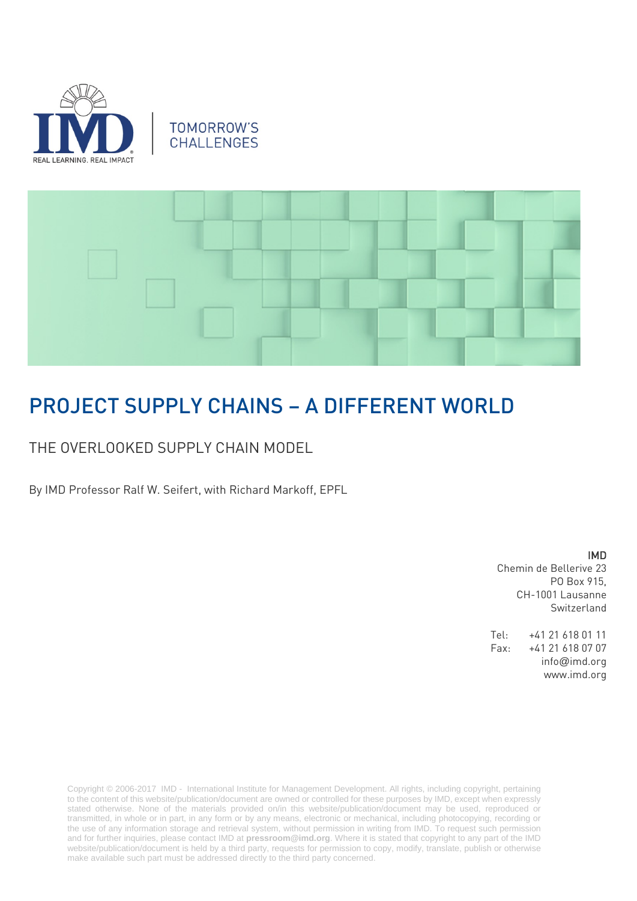





# PROJECT SUPPLY CHAINS – A DIFFERENT WORLD

# THE OVERLOOKED SUPPLY CHAIN MODEL

By IMD Professor Ralf W. Seifert, with Richard Markoff, EPFL

IMD Chemin de Bellerive 23 PO Box 915, CH-1001 Lausanne Switzerland

Tel: +41 21 618 01 11 Fax: +41 21 618 07 07 info@imd.org www.imd.org

Copyright © 2006-2017 IMD - International Institute for Management Development. All rights, including copyright, pertaining to the content of this website/publication/document are owned or controlled for these purposes by IMD, except when expressly stated otherwise. None of the materials provided on/in this website/publication/document may be used, reproduced or transmitted, in whole or in part, in any form or by any means, electronic or mechanical, including photocopying, recording or the use of any information storage and retrieval system, without permission in writing from IMD. To request such permission and for further inquiries, please contact IMD at **[pressroom@imd.org](mailto:pressroom@imd.org)**. Where it is stated that copyright to any part of the IMD website/publication/document is held by a third party, requests for permission to copy, modify, translate, publish or otherwise make available such part must be addressed directly to the third party concerned.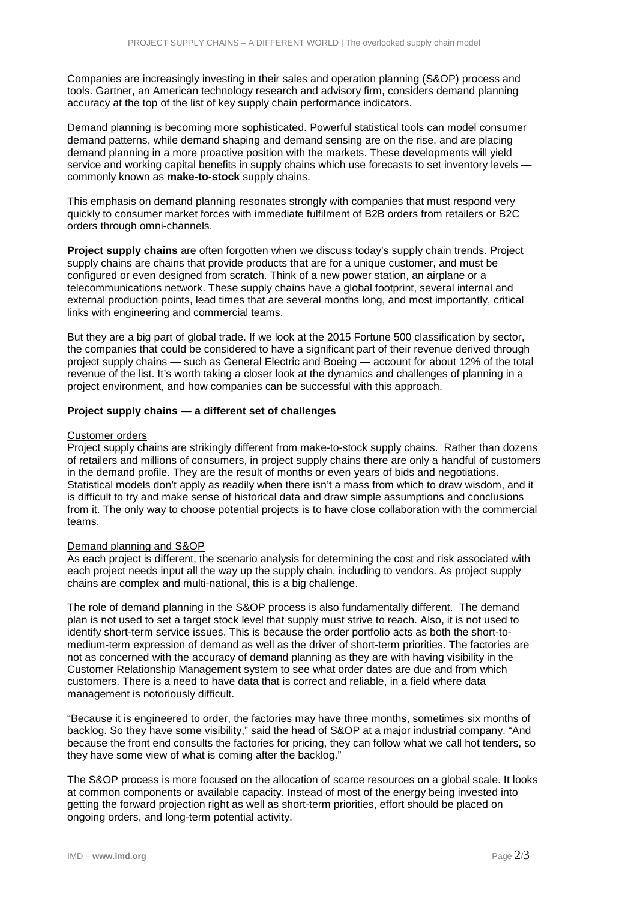Companies are increasingly investing in their sales and operation planning (S&OP) process and tools. Gartner, an American technology research and advisory firm, considers demand planning accuracy at the top of the list of key supply chain performance indicators.

Demand planning is becoming more sophisticated. Powerful statistical tools can model consumer demand patterns, while demand shaping and demand sensing are on the rise, and are placing demand planning in a more proactive position with the markets. These developments will yield service and working capital benefits in supply chains which use forecasts to set inventory levels commonly known as **make-to-stock** supply chains.

This emphasis on demand planning resonates strongly with companies that must respond very quickly to consumer market forces with immediate fulfilment of B2B orders from retailers or B2C orders through omni-channels.

**Project supply chains** are often forgotten when we discuss today's supply chain trends. Project supply chains are chains that provide products that are for a unique customer, and must be configured or even designed from scratch. Think of a new power station, an airplane or a telecommunications network. These supply chains have a global footprint, several internal and external production points, lead times that are several months long, and most importantly, critical links with engineering and commercial teams.

But they are a big part of global trade. If we look at the 2015 Fortune 500 classification by sector, the companies that could be considered to have a significant part of their revenue derived through project supply chains — such as General Electric and Boeing — account for about 12% of the total revenue of the list. It's worth taking a closer look at the dynamics and challenges of planning in a project environment, and how companies can be successful with this approach.

## **Project supply chains — a different set of challenges**

#### Customer orders

Project supply chains are strikingly different from make-to-stock supply chains. Rather than dozens of retailers and millions of consumers, in project supply chains there are only a handful of customers in the demand profile. They are the result of months or even years of bids and negotiations. Statistical models don't apply as readily when there isn't a mass from which to draw wisdom, and it is difficult to try and make sense of historical data and draw simple assumptions and conclusions from it. The only way to choose potential projects is to have close collaboration with the commercial teams.

## Demand planning and S&OP

As each project is different, the scenario analysis for determining the cost and risk associated with each project needs input all the way up the supply chain, including to vendors. As project supply chains are complex and multi-national, this is a big challenge.

The role of demand planning in the S&OP process is also fundamentally different. The demand plan is not used to set a target stock level that supply must strive to reach. Also, it is not used to identify short-term service issues. This is because the order portfolio acts as both the short-tomedium-term expression of demand as well as the driver of short-term priorities. The factories are not as concerned with the accuracy of demand planning as they are with having visibility in the Customer Relationship Management system to see what order dates are due and from which customers. There is a need to have data that is correct and reliable, in a field where data management is notoriously difficult.

"Because it is engineered to order, the factories may have three months, sometimes six months of backlog. So they have some visibility," said the head of S&OP at a major industrial company. "And because the front end consults the factories for pricing, they can follow what we call hot tenders, so they have some view of what is coming after the backlog."

The S&OP process is more focused on the allocation of scarce resources on a global scale. It looks at common components or available capacity. Instead of most of the energy being invested into getting the forward projection right as well as short-term priorities, effort should be placed on ongoing orders, and long-term potential activity.